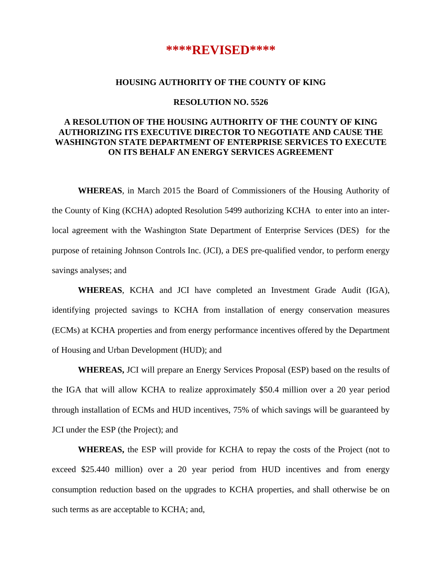# **\*\*\*\*REVISED\*\*\*\***

### **HOUSING AUTHORITY OF THE COUNTY OF KING**

#### **RESOLUTION NO. 5526**

## **A RESOLUTION OF THE HOUSING AUTHORITY OF THE COUNTY OF KING AUTHORIZING ITS EXECUTIVE DIRECTOR TO NEGOTIATE AND CAUSE THE WASHINGTON STATE DEPARTMENT OF ENTERPRISE SERVICES TO EXECUTE ON ITS BEHALF AN ENERGY SERVICES AGREEMENT**

**WHEREAS**, in March 2015 the Board of Commissioners of the Housing Authority of the County of King (KCHA) adopted Resolution 5499 authorizing KCHA to enter into an interlocal agreement with the Washington State Department of Enterprise Services (DES) for the purpose of retaining Johnson Controls Inc. (JCI), a DES pre-qualified vendor, to perform energy savings analyses; and

**WHEREAS**, KCHA and JCI have completed an Investment Grade Audit (IGA), identifying projected savings to KCHA from installation of energy conservation measures (ECMs) at KCHA properties and from energy performance incentives offered by the Department of Housing and Urban Development (HUD); and

**WHEREAS,** JCI will prepare an Energy Services Proposal (ESP) based on the results of the IGA that will allow KCHA to realize approximately \$50.4 million over a 20 year period through installation of ECMs and HUD incentives, 75% of which savings will be guaranteed by JCI under the ESP (the Project); and

**WHEREAS,** the ESP will provide for KCHA to repay the costs of the Project (not to exceed \$25.440 million) over a 20 year period from HUD incentives and from energy consumption reduction based on the upgrades to KCHA properties, and shall otherwise be on such terms as are acceptable to KCHA; and,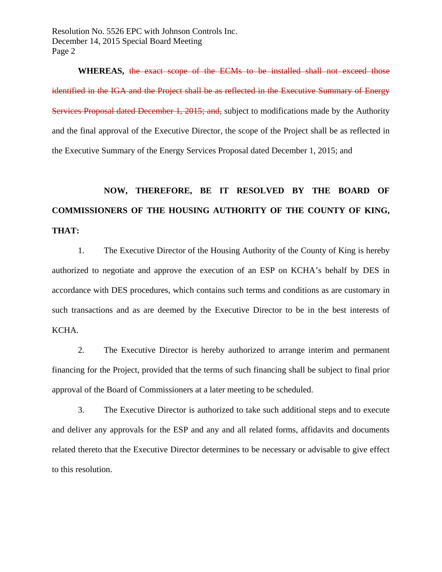Resolution No. 5526 EPC with Johnson Controls Inc. December 14, 2015 Special Board Meeting Page 2

**WHEREAS,** the exact scope of the ECMs to be installed shall not exceed those identified in the IGA and the Project shall be as reflected in the Executive Summary of Energy Services Proposal dated December 1, 2015; and, subject to modifications made by the Authority and the final approval of the Executive Director, the scope of the Project shall be as reflected in the Executive Summary of the Energy Services Proposal dated December 1, 2015; and

# **NOW, THEREFORE, BE IT RESOLVED BY THE BOARD OF COMMISSIONERS OF THE HOUSING AUTHORITY OF THE COUNTY OF KING, THAT:**

 1. The Executive Director of the Housing Authority of the County of King is hereby authorized to negotiate and approve the execution of an ESP on KCHA's behalf by DES in accordance with DES procedures, which contains such terms and conditions as are customary in such transactions and as are deemed by the Executive Director to be in the best interests of KCHA.

 2. The Executive Director is hereby authorized to arrange interim and permanent financing for the Project, provided that the terms of such financing shall be subject to final prior approval of the Board of Commissioners at a later meeting to be scheduled.

 3. The Executive Director is authorized to take such additional steps and to execute and deliver any approvals for the ESP and any and all related forms, affidavits and documents related thereto that the Executive Director determines to be necessary or advisable to give effect to this resolution.